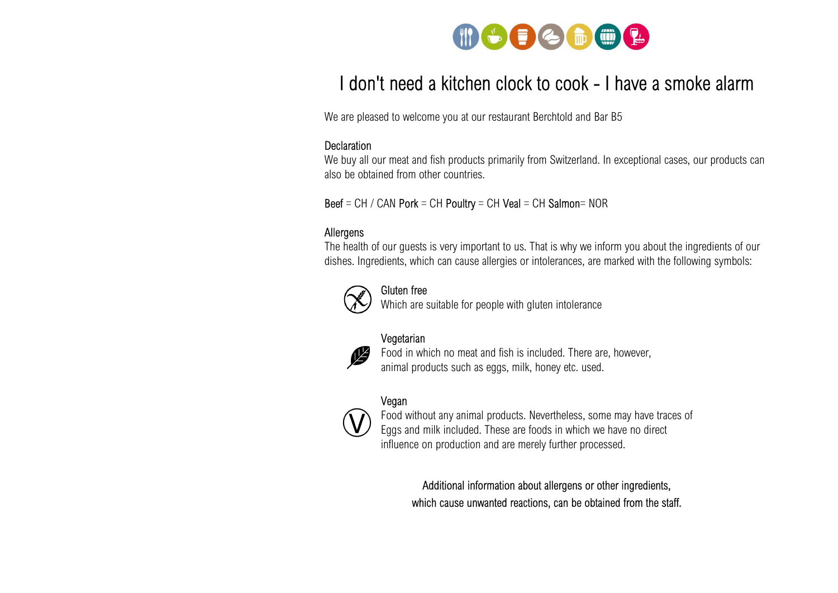

### I don't need a kitchen clock to cook - I have a smoke alarm

We are pleased to welcome you at our restaurant Berchtold and Bar B5

#### **Declaration**

We buy all our meat and fish products primarily from Switzerland. In exceptional cases, our products can also be obtained from other countries.

 $\text{Beef} = \text{CH} / \text{CAN}$  Pork = CH Poultry = CH Veal = CH Salmon= NOR

#### Allergens

The health of our guests is very important to us. That is why we inform you about the ingredients of our dishes. Ingredients, which can cause allergies or intolerances, are marked with the following symbols:



#### Gluten free

Which are suitable for people with gluten intolerance

#### Vegetarian



 Food in which no meat and fish is included. There are, however, animal products such as eggs, milk, honey etc. used.

#### Vegan



 Food without any animal products. Nevertheless, some may have traces of Eggs and milk included. These are foods in which we have no direct influence on production and are merely further processed.

Additional information about allergens or other ingredients, which cause unwanted reactions, can be obtained from the staff.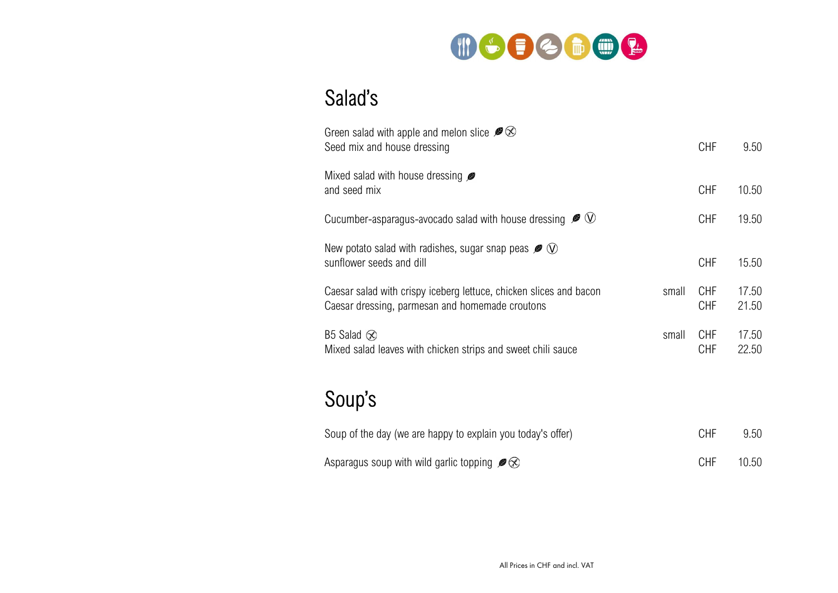

# Salad's

| Green salad with apple and melon slice $\mathscr{B} \otimes$<br>Seed mix and house dressing                           |       | <b>CHF</b>               | 9.50           |
|-----------------------------------------------------------------------------------------------------------------------|-------|--------------------------|----------------|
| Mixed salad with house dressing <b>P</b><br>and seed mix                                                              |       | <b>CHF</b>               | 10.50          |
| Cucumber-asparagus-avocado salad with house dressing $\mathcal{L} \cup \mathcal{L}$                                   |       | <b>CHF</b>               | 19.50          |
| New potato salad with radishes, sugar snap peas $\mathcal{P}(\mathcal{V})$<br>sunflower seeds and dill                |       | <b>CHF</b>               | 15.50          |
| Caesar salad with crispy iceberg lettuce, chicken slices and bacon<br>Caesar dressing, parmesan and homemade croutons | small | <b>CHF</b><br>CHF        | 17.50<br>21.50 |
| B5 Salad $\otimes$<br>Mixed salad leaves with chicken strips and sweet chili sauce                                    | small | <b>CHF</b><br><b>CHF</b> | 17.50<br>22.50 |

# Soup's

| Soup of the day (we are happy to explain you today's offer)   | <b>CHF</b> | 9.50  |
|---------------------------------------------------------------|------------|-------|
| Asparagus soup with wild garlic topping $\mathscr{B} \otimes$ | <b>CHF</b> | 10.50 |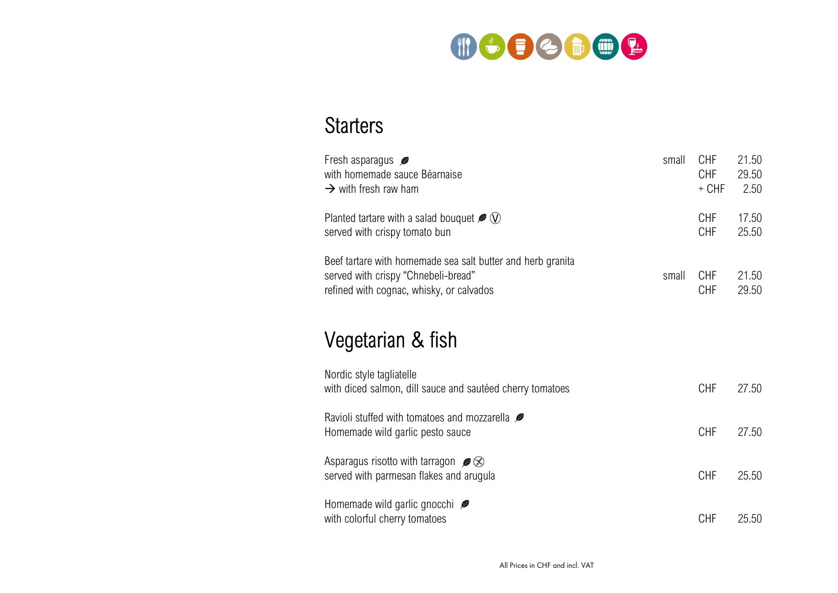

## **Starters**

| Fresh asparagus $\mathscr{B}$                                                                                                                  | small | CHF                      | 21.50          |
|------------------------------------------------------------------------------------------------------------------------------------------------|-------|--------------------------|----------------|
| with homemade sauce Béarnaise                                                                                                                  |       | <b>CHF</b>               | 29.50          |
| $\rightarrow$ with fresh raw ham                                                                                                               |       | $+$ CHF                  | 2.50           |
| Planted tartare with a salad bouquet $\mathcal{P}(\mathcal{V})$                                                                                |       | <b>CHF</b>               | 17.50          |
| served with crispy tomato bun                                                                                                                  |       | <b>CHF</b>               | 25.50          |
| Beef tartare with homemade sea salt butter and herb granita<br>served with crispy "Chnebeli-bread"<br>refined with cognac, whisky, or calvados | small | <b>CHF</b><br><b>CHF</b> | 21.50<br>29.50 |

# Vegetarian & fish

| Nordic style tagliatelle<br>with diced salmon, dill sauce and sautéed cherry tomatoes     | <b>CHF</b> | 27.50 |
|-------------------------------------------------------------------------------------------|------------|-------|
| Ravioli stuffed with tomatoes and mozzarella <b>P</b><br>Homemade wild garlic pesto sauce | <b>CHF</b> | 27.50 |
| Asparagus risotto with tarragon $\mathscr{B}$<br>served with parmesan flakes and arugula  | <b>CHF</b> | 25.50 |
| Homemade wild garlic gnocchi $\mathscr{B}$<br>with colorful cherry tomatoes               | CHF        | 25.50 |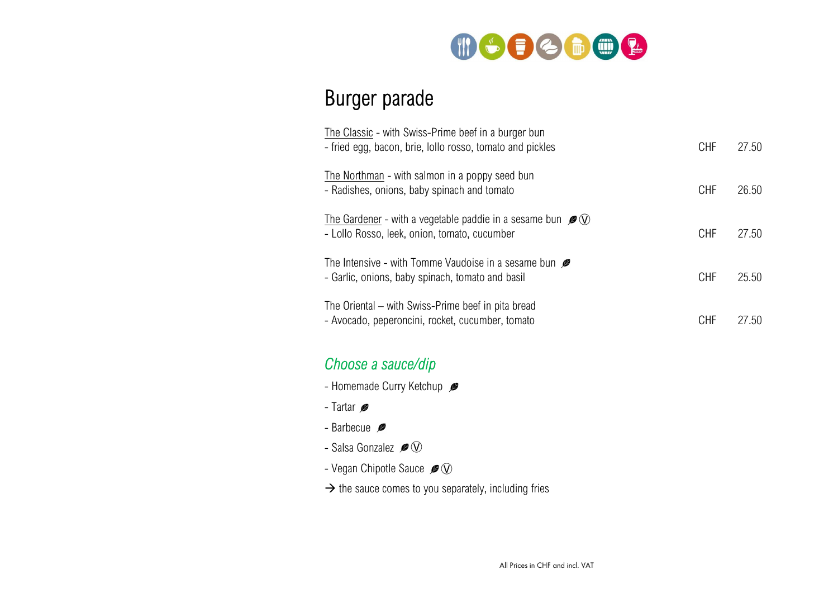

## Burger parade

| The Classic - with Swiss-Prime beef in a burger bun<br>- fried egg, bacon, brie, lollo rosso, tomato and pickles                  | <b>CHF</b> | 27.50 |
|-----------------------------------------------------------------------------------------------------------------------------------|------------|-------|
| The Northman - with salmon in a poppy seed bun<br>- Radishes, onions, baby spinach and tomato                                     | <b>CHF</b> | 26.50 |
| The Gardener - with a vegetable paddie in a sesame bun $\mathcal{P}(\mathcal{V})$<br>- Lollo Rosso, leek, onion, tomato, cucumber | <b>CHF</b> | 27.50 |
| The Intensive - with Tomme Vaudoise in a sesame bun $\mathscr B$<br>- Garlic, onions, baby spinach, tomato and basil              | <b>CHF</b> | 25.50 |
| The Oriental – with Swiss-Prime beef in pita bread<br>- Avocado, peperoncini, rocket, cucumber, tomato                            | CHF        | 27.50 |

### Choose a sauce/dip

- Homemade Curry Ketchup
- Tartar Ø
- Barbecue **@**
- Salsa Gonzalez  $\mathscr{B}(\mathbb{V})$
- Vegan Chipotle Sauce  $\mathscr{B}(\mathbb{V})$
- $\rightarrow$  the sauce comes to you separately, including fries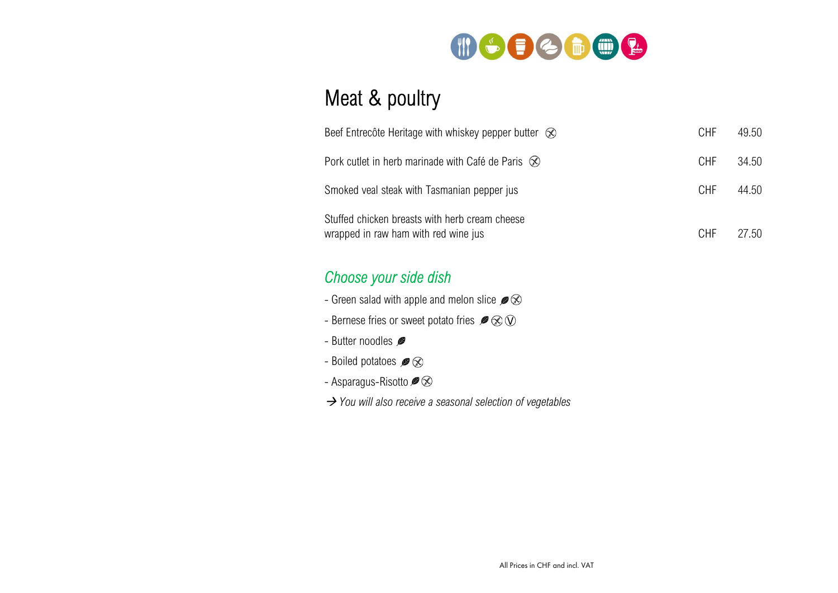

## Meat & poultry

| Beef Entrecôte Heritage with whiskey pepper butter $\otimes$                           | <b>CHF</b> | 49.50 |
|----------------------------------------------------------------------------------------|------------|-------|
| Pork cutlet in herb marinade with Café de Paris $\otimes$                              | CHF        | 34.50 |
| Smoked veal steak with Tasmanian pepper jus                                            | <b>CHF</b> | 44.50 |
| Stuffed chicken breasts with herb cream cheese<br>wrapped in raw ham with red wine jus | <b>CHF</b> | 27.50 |

### Choose your side dish

- Green salad with apple and melon slice  $\mathcal{P} \, \widehat{\otimes}$
- Bernese fries or sweet potato fries  $\mathcal{B} \otimes \mathbb{Q}$
- Butter noodles
- Boiled potatoes  $\mathscr{B} \otimes$
- Asparagus-Risotto  $\mathscr{B} \otimes$
- $\rightarrow$  You will also receive a seasonal selection of vegetables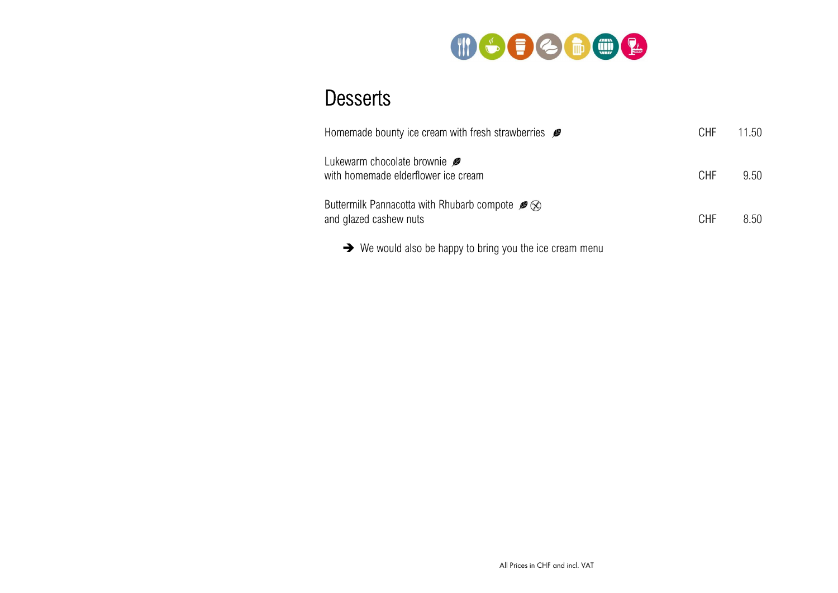

### **Desserts**

| Homemade bounty ice cream with fresh strawberries $\mathcal{L}$                            | CHF        | 11.50 |
|--------------------------------------------------------------------------------------------|------------|-------|
| Lukewarm chocolate brownie<br>with homemade elderflower ice cream                          | <b>CHF</b> | 9.50  |
| Buttermilk Pannacotta with Rhubarb compote $\mathcal{B} \otimes$<br>and glazed cashew nuts | <b>CHF</b> | 8.50  |
| $\rightarrow$ We would also be happy to bring you the ice cream menu                       |            |       |